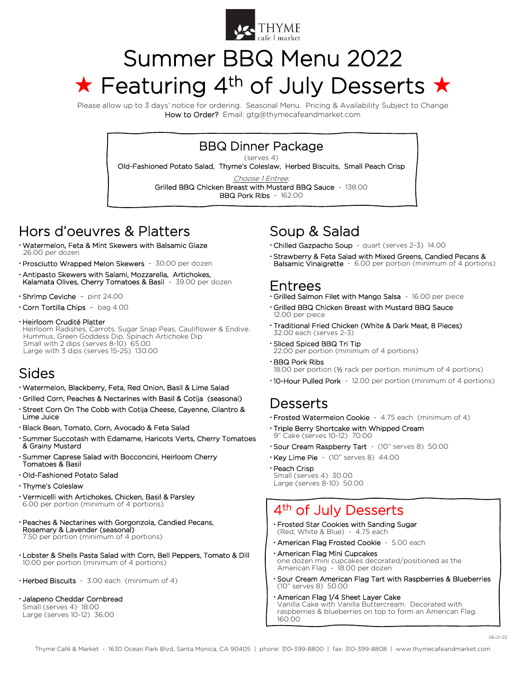

## Summer BBQ Menu 2022 ★ Featuring 4<sup>th</sup> of July Desserts ★

Please allow up to 3 days' notice for ordering. Seasonal Menu. Pricing & Availability Subject to Change How to Order? Email: gtg@thymecafeandmarket.com

#### BBQ Dinner Package

(serves 4)

Old-Fashioned Potato Salad, Thyme's Coleslaw, Herbed Biscuits, Small Peach Crisp

Choose 1 Entree.

Grilled BBQ Chicken Breast with Mustard BBQ Sauce - 138.00

BBQ Pork Ribs - 162.00

## Hors d'oeuvres & Platters

- Watermelon, Feta & Mint Skewers with Balsamic Glaze 26.00 per dozen
- Prosciutto Wrapped Melon Skewers 30.00 per dozen
- Antipasto Skewers with Salami, Mozzarella, Artichokes, Kalamata Olives, Cherry Tomatoes & Basil - 39.00 per dozen
- Shrimp Ceviche pint 24.00
- Corn Tortilla Chips bag 4.00

#### Heirloom Crudité Platter

Heirloom Radishes, Carrots, Sugar Snap Peas, Cauliflower & Endive. Hummus, Green Goddess Dip, Spinach Artichoke Dip Small with 2 dips (serves 8-10) 65.00 Large with 3 dips (serves 15-25) 130.00

### Sides

- Watermelon, Blackberry, Feta, Red Onion, Basil & Lime Salad
- Grilled Corn, Peaches & Nectarines with Basil & Cotija (seasonal)
- Street Corn On The Cobb with Cotija Cheese, Cayenne, Cilantro & Lime Juice
- Black Bean, Tomato, Corn, Avocado & Feta Salad
- Summer Succotash with Edamame, Haricots Verts, Cherry Tomatoes & Grainy Mustard
- Summer Caprese Salad with Bocconcini, Heirloom Cherry Tomatoes & Basil
- Old-Fashioned Potato Salad
- Thyme's Coleslaw
- Vermicelli with Artichokes, Chicken, Basil & Parsley 6.00 per portion (minimum of 4 portions)
- Peaches & Nectarines with Gorgonzola, Candied Pecans, Rosemary & Lavender (seasonal) 7.50 per portion (minimum of 4 portions)
- Lobster & Shells Pasta Salad with Corn, Bell Peppers, Tomato & Dill 10.00 per portion (minimum of 4 portions)
- **Herbed Biscuits** 3.00 each (minimum of 4)

#### Jalapeno Cheddar Cornbread

Small (serves 4) 18.00 Large (serves 10-12) 36.00

### Soup & Salad

- Chilled Gazpacho Soup quart (serves 2-3) 14.00
- Strawberry & Feta Salad with Mixed Greens, Candied Pecans & Balsamic Vinaigrette - 6.00 per portion (minimum of 4 portions)

#### Entrees

- Grilled Salmon Filet with Mango Salsa 16.00 per piece
- Grilled BBQ Chicken Breast with Mustard BBQ Sauce 12.00 per piece
- Traditional Fried Chicken (White & Dark Meat, 8 Pieces) 32.00 each (serves 2-3)
- Sliced Spiced BBQ Tri Tip 22.00 per portion (minimum of 4 portions)
- BBQ Pork Ribs 18.00 per portion (½ rack per portion. minimum of 4 portions)
- .<br>**10-Hour Pulled Pork** 12.00 per portion (minimum of 4 portions)

#### Desserts

- Frosted Watermelon Cookie 4.75 each (minimum of 4)
- Triple Berry Shortcake with Whipped Cream Cake (serves 10-12) 70.00
- **Sour Cream Raspberry Tart** (10" serves 8) 50.00
- $\cdot$  Key Lime Pie  $-$  (10" serves 8) 44.00
- Peach Crisp Small (serves 4) 30.00 Large (serves 8-10) 50.00

#### 4<sup>th</sup> of July Desserts

- Frosted Star Cookies with Sanding Sugar (Red, White & Blue) - 4.75 each
- **American Flag Frosted Cookie 5.00 each**
- American Flag Mini Cupcakes one dozen mini cupcakes decorated/positioned as the American Flag - 18.00 per dozen
- Sour Cream American Flag Tart with Raspberries & Blueberries (10" serves 8) 50.00
- American Flag 1/4 Sheet Layer Cake Vanilla Cake with Vanilla Buttercream. Decorated with raspberries & blueberries on top to form an American Flag. 160.00

06-21-22